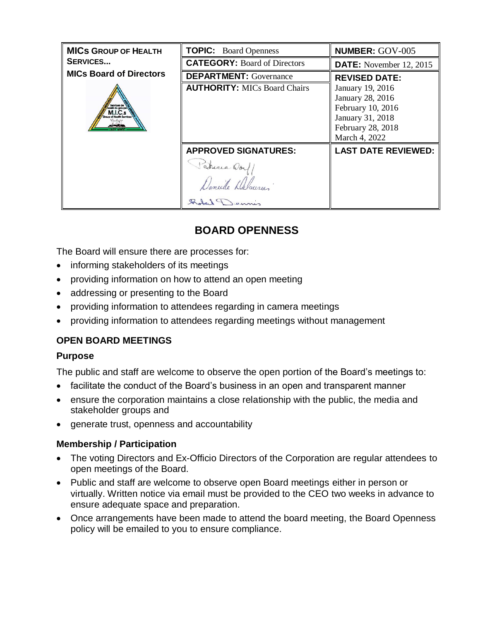| <b>MICS GROUP OF HEALTH</b><br><b>SERVICES</b> | <b>TOPIC:</b> Board Openness                | <b>NUMBER: GOV-005</b>                                                                                              |
|------------------------------------------------|---------------------------------------------|---------------------------------------------------------------------------------------------------------------------|
|                                                | <b>CATEGORY: Board of Directors</b>         | <b>DATE:</b> November 12, 2015                                                                                      |
| <b>MICs Board of Directors</b>                 | <b>DEPARTMENT:</b> Governance               | <b>REVISED DATE:</b>                                                                                                |
| avices de<br>é du group<br>Kundê tir           | <b>AUTHORITY: MICs Board Chairs</b>         | January 19, 2016<br>January 28, 2016<br>February 10, 2016<br>January 31, 2018<br>February 28, 2018<br>March 4, 2022 |
|                                                | <b>APPROVED SIGNATURES:</b><br>Saducia Dorf | <b>LAST DATE REVIEWED:</b>                                                                                          |
|                                                |                                             |                                                                                                                     |

# **BOARD OPENNESS**

The Board will ensure there are processes for:

- informing stakeholders of its meetings
- providing information on how to attend an open meeting
- addressing or presenting to the Board
- providing information to attendees regarding in camera meetings
- providing information to attendees regarding meetings without management

## **OPEN BOARD MEETINGS**

### **Purpose**

The public and staff are welcome to observe the open portion of the Board's meetings to:

- facilitate the conduct of the Board's business in an open and transparent manner
- ensure the corporation maintains a close relationship with the public, the media and stakeholder groups and
- generate trust, openness and accountability

### **Membership / Participation**

- The voting Directors and Ex-Officio Directors of the Corporation are regular attendees to open meetings of the Board.
- Public and staff are welcome to observe open Board meetings either in person or virtually. Written notice via email must be provided to the CEO two weeks in advance to ensure adequate space and preparation.
- Once arrangements have been made to attend the board meeting, the Board Openness policy will be emailed to you to ensure compliance.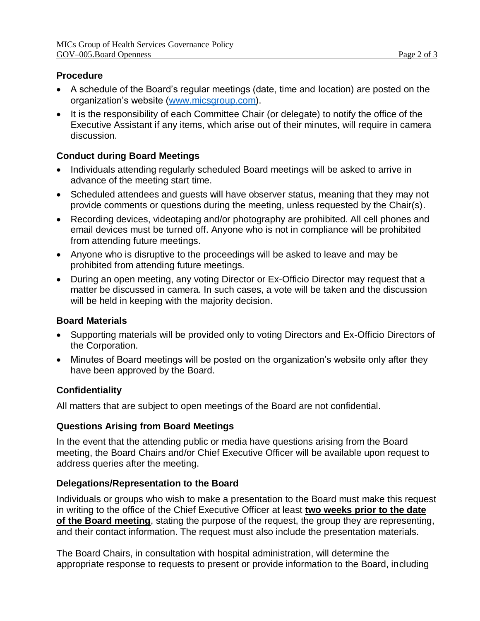#### **Procedure**

- A schedule of the Board's regular meetings (date, time and location) are posted on the organization's website [\(www.micsgroup.com\)](http://www.micsgroup.com/).
- It is the responsibility of each Committee Chair (or delegate) to notify the office of the Executive Assistant if any items, which arise out of their minutes, will require in camera discussion.

### **Conduct during Board Meetings**

- Individuals attending regularly scheduled Board meetings will be asked to arrive in advance of the meeting start time.
- Scheduled attendees and quests will have observer status, meaning that they may not provide comments or questions during the meeting, unless requested by the Chair(s).
- Recording devices, videotaping and/or photography are prohibited. All cell phones and email devices must be turned off. Anyone who is not in compliance will be prohibited from attending future meetings.
- Anyone who is disruptive to the proceedings will be asked to leave and may be prohibited from attending future meetings.
- During an open meeting, any voting Director or Ex-Officio Director may request that a matter be discussed in camera. In such cases, a vote will be taken and the discussion will be held in keeping with the majority decision.

### **Board Materials**

- Supporting materials will be provided only to voting Directors and Ex-Officio Directors of the Corporation.
- Minutes of Board meetings will be posted on the organization's website only after they have been approved by the Board.

## **Confidentiality**

All matters that are subject to open meetings of the Board are not confidential.

### **Questions Arising from Board Meetings**

In the event that the attending public or media have questions arising from the Board meeting, the Board Chairs and/or Chief Executive Officer will be available upon request to address queries after the meeting.

### **Delegations/Representation to the Board**

Individuals or groups who wish to make a presentation to the Board must make this request in writing to the office of the Chief Executive Officer at least **two weeks prior to the date of the Board meeting**, stating the purpose of the request, the group they are representing, and their contact information. The request must also include the presentation materials.

The Board Chairs, in consultation with hospital administration, will determine the appropriate response to requests to present or provide information to the Board, including